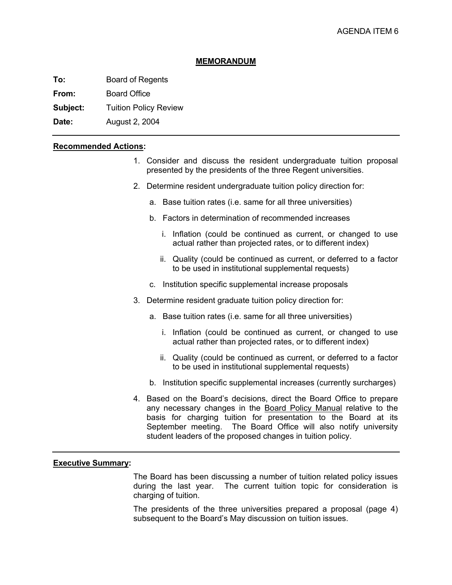#### **MEMORANDUM**

**To:** Board of Regents

**From:** Board Office

**Subject:** Tuition Policy Review

**Date:** August 2, 2004

### **Recommended Actions:**

- 1. Consider and discuss the resident undergraduate tuition proposal presented by the presidents of the three Regent universities.
- 2. Determine resident undergraduate tuition policy direction for:
	- a. Base tuition rates (i.e. same for all three universities)
	- b. Factors in determination of recommended increases
		- i. Inflation (could be continued as current, or changed to use actual rather than projected rates, or to different index)
		- ii. Quality (could be continued as current, or deferred to a factor to be used in institutional supplemental requests)
	- c. Institution specific supplemental increase proposals
- 3. Determine resident graduate tuition policy direction for:
	- a. Base tuition rates (i.e. same for all three universities)
		- i. Inflation (could be continued as current, or changed to use actual rather than projected rates, or to different index)
		- ii. Quality (could be continued as current, or deferred to a factor to be used in institutional supplemental requests)
	- b. Institution specific supplemental increases (currently surcharges)
- 4. Based on the Board's decisions, direct the Board Office to prepare any necessary changes in the Board Policy Manual relative to the basis for charging tuition for presentation to the Board at its September meeting. The Board Office will also notify university student leaders of the proposed changes in tuition policy.

## **Executive Summary:**

 The Board has been discussing a number of tuition related policy issues during the last year. The current tuition topic for consideration is charging of tuition.

The presidents of the three universities prepared a proposal (page 4) subsequent to the Board's May discussion on tuition issues.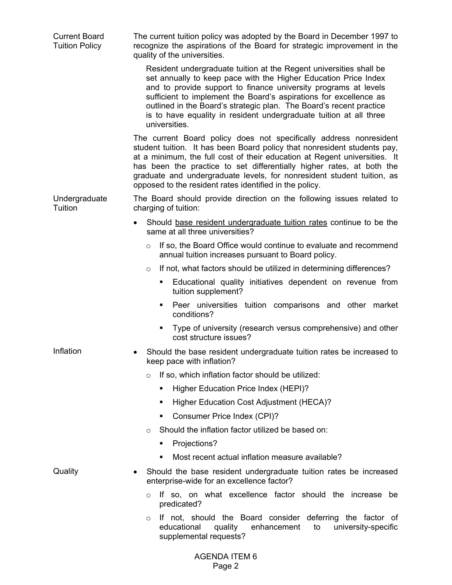| <b>Current Board</b><br><b>Tuition Policy</b> | The current tuition policy was adopted by the Board in December 1997 to<br>recognize the aspirations of the Board for strategic improvement in the<br>quality of the universities.                                                                                                                                                                                                                                                          |  |  |  |
|-----------------------------------------------|---------------------------------------------------------------------------------------------------------------------------------------------------------------------------------------------------------------------------------------------------------------------------------------------------------------------------------------------------------------------------------------------------------------------------------------------|--|--|--|
|                                               | Resident undergraduate tuition at the Regent universities shall be<br>set annually to keep pace with the Higher Education Price Index<br>and to provide support to finance university programs at levels<br>sufficient to implement the Board's aspirations for excellence as<br>outlined in the Board's strategic plan. The Board's recent practice<br>is to have equality in resident undergraduate tuition at all three<br>universities. |  |  |  |
|                                               | The current Board policy does not specifically address nonresident<br>student tuition. It has been Board policy that nonresident students pay,<br>at a minimum, the full cost of their education at Regent universities. It<br>has been the practice to set differentially higher rates, at both the<br>graduate and undergraduate levels, for nonresident student tuition, as<br>opposed to the resident rates identified in the policy.   |  |  |  |
| Undergraduate<br>Tuition                      | The Board should provide direction on the following issues related to<br>charging of tuition:                                                                                                                                                                                                                                                                                                                                               |  |  |  |
|                                               | Should base resident undergraduate tuition rates continue to be the<br>same at all three universities?                                                                                                                                                                                                                                                                                                                                      |  |  |  |
|                                               | If so, the Board Office would continue to evaluate and recommend<br>$\circ$<br>annual tuition increases pursuant to Board policy.                                                                                                                                                                                                                                                                                                           |  |  |  |
|                                               | If not, what factors should be utilized in determining differences?<br>$\circ$                                                                                                                                                                                                                                                                                                                                                              |  |  |  |
|                                               | Educational quality initiatives dependent on revenue from<br>٠<br>tuition supplement?                                                                                                                                                                                                                                                                                                                                                       |  |  |  |
|                                               | Peer universities tuition comparisons and other market<br>٠<br>conditions?                                                                                                                                                                                                                                                                                                                                                                  |  |  |  |
|                                               | Type of university (research versus comprehensive) and other<br>٠<br>cost structure issues?                                                                                                                                                                                                                                                                                                                                                 |  |  |  |
| Inflation                                     | Should the base resident undergraduate tuition rates be increased to<br>keep pace with inflation?                                                                                                                                                                                                                                                                                                                                           |  |  |  |
|                                               | If so, which inflation factor should be utilized:<br>$\Omega$                                                                                                                                                                                                                                                                                                                                                                               |  |  |  |
|                                               | Higher Education Price Index (HEPI)?<br>٠                                                                                                                                                                                                                                                                                                                                                                                                   |  |  |  |
|                                               | Higher Education Cost Adjustment (HECA)?<br>٠                                                                                                                                                                                                                                                                                                                                                                                               |  |  |  |
|                                               | Consumer Price Index (CPI)?<br>٠                                                                                                                                                                                                                                                                                                                                                                                                            |  |  |  |
|                                               | Should the inflation factor utilized be based on:<br>$\Omega$                                                                                                                                                                                                                                                                                                                                                                               |  |  |  |
|                                               | Projections?<br>٠                                                                                                                                                                                                                                                                                                                                                                                                                           |  |  |  |
|                                               | Most recent actual inflation measure available?<br>٠                                                                                                                                                                                                                                                                                                                                                                                        |  |  |  |
| Quality                                       | Should the base resident undergraduate tuition rates be increased<br>enterprise-wide for an excellence factor?                                                                                                                                                                                                                                                                                                                              |  |  |  |
|                                               | If so, on what excellence factor should the increase be<br>$\circ$<br>predicated?                                                                                                                                                                                                                                                                                                                                                           |  |  |  |
|                                               | If not, should the Board consider deferring the factor of<br>$\circ$<br>educational<br>university-specific<br>quality<br>enhancement<br>to<br>supplemental requests?                                                                                                                                                                                                                                                                        |  |  |  |
|                                               | <b>AGENDA ITEM 6</b>                                                                                                                                                                                                                                                                                                                                                                                                                        |  |  |  |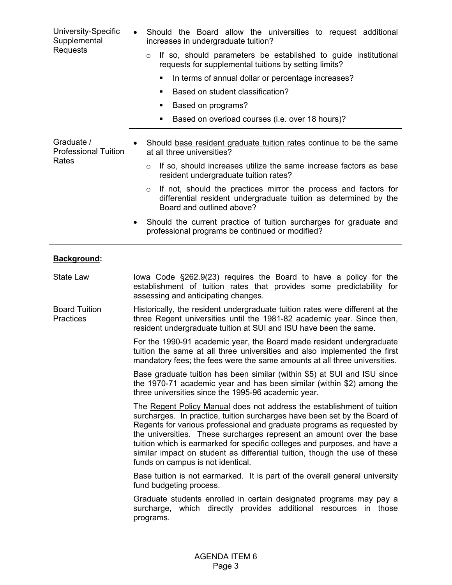| University-Specific<br>Supplemental<br><b>Requests</b> | Should the Board allow the universities to request additional<br>increases in undergraduate tuition?<br>If so, should parameters be established to guide institutional<br>$\circ$<br>requests for supplemental tuitions by setting limits?<br>In terms of annual dollar or percentage increases?<br>٠<br>Based on student classification?<br>٠<br>Based on programs?<br>٠<br>Based on overload courses (i.e. over 18 hours)?<br>٠                                                                                                  |
|--------------------------------------------------------|------------------------------------------------------------------------------------------------------------------------------------------------------------------------------------------------------------------------------------------------------------------------------------------------------------------------------------------------------------------------------------------------------------------------------------------------------------------------------------------------------------------------------------|
| Graduate /<br><b>Professional Tuition</b><br>Rates     | Should base resident graduate tuition rates continue to be the same<br>at all three universities?<br>If so, should increases utilize the same increase factors as base<br>$\circ$<br>resident undergraduate tuition rates?<br>If not, should the practices mirror the process and factors for<br>$\circ$<br>differential resident undergraduate tuition as determined by the<br>Board and outlined above?<br>Should the current practice of tuition surcharges for graduate and<br>professional programs be continued or modified? |
| Background:                                            |                                                                                                                                                                                                                                                                                                                                                                                                                                                                                                                                    |
| <b>State Law</b>                                       | lowa Code §262.9(23) requires the Board to have a policy for the<br>establishment of tuition rates that provides some predictability for<br>assessing and anticipating changes.                                                                                                                                                                                                                                                                                                                                                    |
| <b>Board Tuition</b><br><b>Practices</b>               | Historically, the resident undergraduate tuition rates were different at the<br>three Regent universities until the 1981-82 academic year. Since then,<br>resident undergraduate tuition at SUI and ISU have been the same.                                                                                                                                                                                                                                                                                                        |
|                                                        | For the 1990-91 academic year, the Board made resident undergraduate<br>tuition the same at all three universities and also implemented the first<br>mandatory fees; the fees were the same amounts at all three universities.                                                                                                                                                                                                                                                                                                     |
|                                                        | Base graduate tuition has been similar (within \$5) at SUI and ISU since<br>the 1970-71 academic year and has been similar (within \$2) among the<br>three universities since the 1995-96 academic year.                                                                                                                                                                                                                                                                                                                           |
|                                                        | The Regent Policy Manual does not address the establishment of tuition<br>surcharges. In practice, tuition surcharges have been set by the Board of<br>Regents for various professional and graduate programs as requested by<br>the universities. These surcharges represent an amount over the base<br>tuition which is earmarked for specific colleges and purposes, and have a<br>similar impact on student as differential tuition, though the use of these<br>funds on campus is not identical.                              |
|                                                        | Base tuition is not earmarked. It is part of the overall general university<br>fund budgeting process.                                                                                                                                                                                                                                                                                                                                                                                                                             |
|                                                        | Graduate students enrolled in certain designated programs may pay a<br>surcharge, which directly provides additional resources in those<br>programs.                                                                                                                                                                                                                                                                                                                                                                               |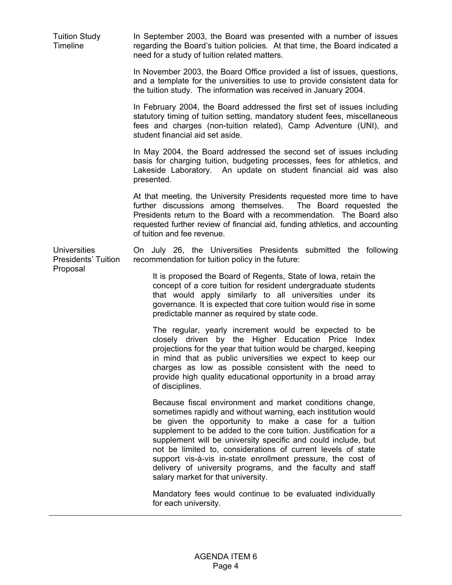Tuition Study Timeline In September 2003, the Board was presented with a number of issues regarding the Board's tuition policies. At that time, the Board indicated a need for a study of tuition related matters. In November 2003, the Board Office provided a list of issues, questions, and a template for the universities to use to provide consistent data for the tuition study. The information was received in January 2004.

> In February 2004, the Board addressed the first set of issues including statutory timing of tuition setting, mandatory student fees, miscellaneous fees and charges (non-tuition related), Camp Adventure (UNI), and student financial aid set aside.

> In May 2004, the Board addressed the second set of issues including basis for charging tuition, budgeting processes, fees for athletics, and Lakeside Laboratory. An update on student financial aid was also presented.

> At that meeting, the University Presidents requested more time to have further discussions among themselves. The Board requested the Presidents return to the Board with a recommendation. The Board also requested further review of financial aid, funding athletics, and accounting of tuition and fee revenue.

**Universities** On July 26, the Universities Presidents submitted the following recommendation for tuition policy in the future:

> It is proposed the Board of Regents, State of Iowa, retain the concept of a core tuition for resident undergraduate students that would apply similarly to all universities under its governance. It is expected that core tuition would rise in some predictable manner as required by state code.

> The regular, yearly increment would be expected to be closely driven by the Higher Education Price Index projections for the year that tuition would be charged, keeping in mind that as public universities we expect to keep our charges as low as possible consistent with the need to provide high quality educational opportunity in a broad array of disciplines.

> Because fiscal environment and market conditions change, sometimes rapidly and without warning, each institution would be given the opportunity to make a case for a tuition supplement to be added to the core tuition. Justification for a supplement will be university specific and could include, but not be limited to, considerations of current levels of state support vis-à-vis in-state enrollment pressure, the cost of delivery of university programs, and the faculty and staff salary market for that university.

> Mandatory fees would continue to be evaluated individually for each university.

Presidents' Tuition Proposal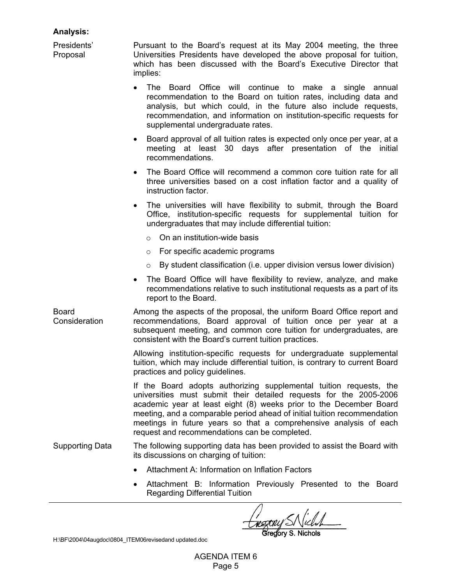# **Analysis:**

Presidents' Proposal Pursuant to the Board's request at its May 2004 meeting, the three Universities Presidents have developed the above proposal for tuition, which has been discussed with the Board's Executive Director that implies:

- The Board Office will continue to make a single annual recommendation to the Board on tuition rates, including data and analysis, but which could, in the future also include requests, recommendation, and information on institution-specific requests for supplemental undergraduate rates.
- Board approval of all tuition rates is expected only once per year, at a meeting at least 30 days after presentation of the initial recommendations.
- The Board Office will recommend a common core tuition rate for all three universities based on a cost inflation factor and a quality of instruction factor.
- The universities will have flexibility to submit, through the Board Office, institution-specific requests for supplemental tuition for undergraduates that may include differential tuition:
	- $\circ$  On an institution-wide basis
	- o For specific academic programs
	- $\circ$  By student classification (i.e. upper division versus lower division)
- The Board Office will have flexibility to review, analyze, and make recommendations relative to such institutional requests as a part of its report to the Board.

Board **Consideration** Among the aspects of the proposal, the uniform Board Office report and recommendations, Board approval of tuition once per year at a subsequent meeting, and common core tuition for undergraduates, are consistent with the Board's current tuition practices.

> Allowing institution-specific requests for undergraduate supplemental tuition, which may include differential tuition, is contrary to current Board practices and policy guidelines.

> If the Board adopts authorizing supplemental tuition requests, the universities must submit their detailed requests for the 2005-2006 academic year at least eight (8) weeks prior to the December Board meeting, and a comparable period ahead of initial tuition recommendation meetings in future years so that a comprehensive analysis of each request and recommendations can be completed.

- Supporting Data The following supporting data has been provided to assist the Board with its discussions on charging of tuition:
	- Attachment A: Information on Inflation Factors
	- Attachment B: Information Previously Presented to the Board Regarding Differential Tuition

H:\BF\2004\04augdoc\0804\_ITEM06revisedand updated.doc

AGENDA ITEM 6 Page 5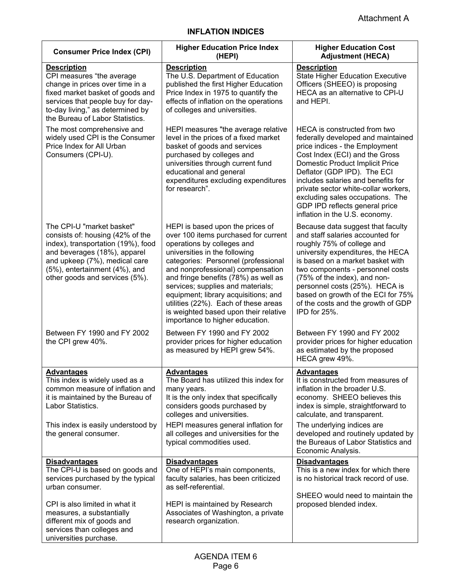| <b>Consumer Price Index (CPI)</b>                                                                                                                                                                                                       | <b>Higher Education Price Index</b><br>(HEPI)                                                                                                                                                                                                                                                                                                                                                                                                                | <b>Higher Education Cost</b><br><b>Adjustment (HECA)</b>                                                                                                                                                                                                                                                                                                                                              |
|-----------------------------------------------------------------------------------------------------------------------------------------------------------------------------------------------------------------------------------------|--------------------------------------------------------------------------------------------------------------------------------------------------------------------------------------------------------------------------------------------------------------------------------------------------------------------------------------------------------------------------------------------------------------------------------------------------------------|-------------------------------------------------------------------------------------------------------------------------------------------------------------------------------------------------------------------------------------------------------------------------------------------------------------------------------------------------------------------------------------------------------|
| <b>Description</b><br>CPI measures "the average<br>change in prices over time in a<br>fixed market basket of goods and<br>services that people buy for day-<br>to-day living," as determined by<br>the Bureau of Labor Statistics.      | <b>Description</b><br>The U.S. Department of Education<br>published the first Higher Education<br>Price Index in 1975 to quantify the<br>effects of inflation on the operations<br>of colleges and universities.                                                                                                                                                                                                                                             | <b>Description</b><br><b>State Higher Education Executive</b><br>Officers (SHEEO) is proposing<br>HECA as an alternative to CPI-U<br>and HEPI.                                                                                                                                                                                                                                                        |
| The most comprehensive and<br>widely used CPI is the Consumer<br>Price Index for All Urban<br>Consumers (CPI-U).                                                                                                                        | HEPI measures "the average relative<br>level in the prices of a fixed market<br>basket of goods and services<br>purchased by colleges and<br>universities through current fund<br>educational and general<br>expenditures excluding expenditures<br>for research".                                                                                                                                                                                           | HECA is constructed from two<br>federally developed and maintained<br>price indices - the Employment<br>Cost Index (ECI) and the Gross<br><b>Domestic Product Implicit Price</b><br>Deflator (GDP IPD). The ECI<br>includes salaries and benefits for<br>private sector white-collar workers,<br>excluding sales occupations. The<br>GDP IPD reflects general price<br>inflation in the U.S. economy. |
| The CPI-U "market basket"<br>consists of: housing (42% of the<br>index), transportation (19%), food<br>and beverages (18%), apparel<br>and upkeep (7%), medical care<br>(5%), entertainment (4%), and<br>other goods and services (5%). | HEPI is based upon the prices of<br>over 100 items purchased for current<br>operations by colleges and<br>universities in the following<br>categories: Personnel (professional<br>and nonprofessional) compensation<br>and fringe benefits (78%) as well as<br>services; supplies and materials;<br>equipment; library acquisitions; and<br>utilities (22%). Each of these areas<br>is weighted based upon their relative<br>importance to higher education. | Because data suggest that faculty<br>and staff salaries accounted for<br>roughly 75% of college and<br>university expenditures, the HECA<br>is based on a market basket with<br>two components - personnel costs<br>(75% of the index), and non-<br>personnel costs (25%). HECA is<br>based on growth of the ECI for 75%<br>of the costs and the growth of GDP<br>IPD for 25%.                        |
| Between FY 1990 and FY 2002<br>the CPI grew 40%.                                                                                                                                                                                        | Between FY 1990 and FY 2002<br>provider prices for higher education<br>as measured by HEPI grew 54%.                                                                                                                                                                                                                                                                                                                                                         | Between FY 1990 and FY 2002<br>provider prices for higher education<br>as estimated by the proposed<br>HECA grew 49%.                                                                                                                                                                                                                                                                                 |
| <b>Advantages</b><br>This index is widely used as a<br>common measure of inflation and<br>it is maintained by the Bureau of<br>Labor Statistics.<br>This index is easily understood by<br>the general consumer.                         | <b>Advantages</b><br>The Board has utilized this index for<br>many years.<br>It is the only index that specifically<br>considers goods purchased by<br>colleges and universities.<br>HEPI measures general inflation for<br>all colleges and universities for the                                                                                                                                                                                            | <b>Advantages</b><br>It is constructed from measures of<br>inflation in the broader U.S.<br>economy. SHEEO believes this<br>index is simple, straightforward to<br>calculate, and transparent.<br>The underlying indices are<br>developed and routinely updated by                                                                                                                                    |
| <b>Disadvantages</b>                                                                                                                                                                                                                    | typical commodities used.<br><b>Disadvantages</b>                                                                                                                                                                                                                                                                                                                                                                                                            | the Bureaus of Labor Statistics and<br>Economic Analysis.<br><b>Disadvantages</b>                                                                                                                                                                                                                                                                                                                     |
| The CPI-U is based on goods and<br>services purchased by the typical<br>urban consumer.                                                                                                                                                 | One of HEPI's main components,<br>faculty salaries, has been criticized<br>as self-referential.                                                                                                                                                                                                                                                                                                                                                              | This is a new index for which there<br>is no historical track record of use.<br>SHEEO would need to maintain the                                                                                                                                                                                                                                                                                      |
| CPI is also limited in what it<br>measures, a substantially<br>different mix of goods and<br>services than colleges and<br>universities purchase.                                                                                       | HEPI is maintained by Research<br>Associates of Washington, a private<br>research organization.                                                                                                                                                                                                                                                                                                                                                              | proposed blended index.                                                                                                                                                                                                                                                                                                                                                                               |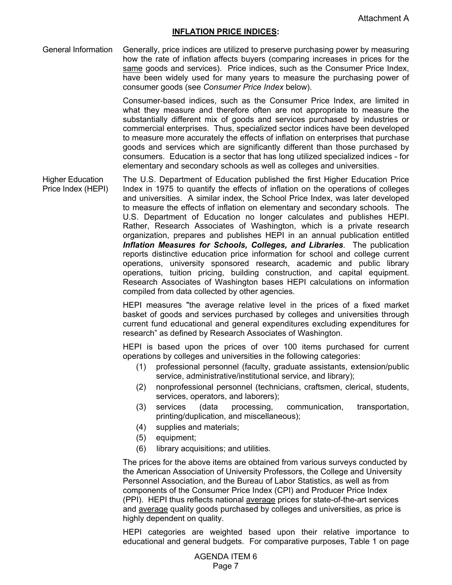#### **INFLATION PRICE INDICES:**

General Information Generally, price indices are utilized to preserve purchasing power by measuring how the rate of inflation affects buyers (comparing increases in prices for the same goods and services). Price indices, such as the Consumer Price Index, have been widely used for many years to measure the purchasing power of consumer goods (see *Consumer Price Index* below).

> Consumer-based indices, such as the Consumer Price Index, are limited in what they measure and therefore often are not appropriate to measure the substantially different mix of goods and services purchased by industries or commercial enterprises. Thus, specialized sector indices have been developed to measure more accurately the effects of inflation on enterprises that purchase goods and services which are significantly different than those purchased by consumers. Education is a sector that has long utilized specialized indices - for elementary and secondary schools as well as colleges and universities.

Higher Education Price Index (HEPI) The U.S. Department of Education published the first Higher Education Price Index in 1975 to quantify the effects of inflation on the operations of colleges and universities. A similar index, the School Price Index, was later developed to measure the effects of inflation on elementary and secondary schools. The U.S. Department of Education no longer calculates and publishes HEPI. Rather, Research Associates of Washington, which is a private research organization, prepares and publishes HEPI in an annual publication entitled *Inflation Measures for Schools, Colleges, and Libraries*. The publication reports distinctive education price information for school and college current operations, university sponsored research, academic and public library operations, tuition pricing, building construction, and capital equipment. Research Associates of Washington bases HEPI calculations on information compiled from data collected by other agencies.

> HEPI measures "the average relative level in the prices of a fixed market basket of goods and services purchased by colleges and universities through current fund educational and general expenditures excluding expenditures for research" as defined by Research Associates of Washington.

> HEPI is based upon the prices of over 100 items purchased for current operations by colleges and universities in the following categories:

- (1) professional personnel (faculty, graduate assistants, extension/public service, administrative/institutional service, and library);
- (2) nonprofessional personnel (technicians, craftsmen, clerical, students, services, operators, and laborers);
- (3) services (data processing, communication, transportation, printing/duplication, and miscellaneous);
- (4) supplies and materials;
- (5) equipment;
- (6) library acquisitions; and utilities.

 The prices for the above items are obtained from various surveys conducted by the American Association of University Professors, the College and University Personnel Association, and the Bureau of Labor Statistics, as well as from components of the Consumer Price Index (CPI) and Producer Price Index (PPI). HEPI thus reflects national average prices for state-of-the-art services and average quality goods purchased by colleges and universities, as price is highly dependent on quality.

 HEPI categories are weighted based upon their relative importance to educational and general budgets. For comparative purposes, Table 1 on page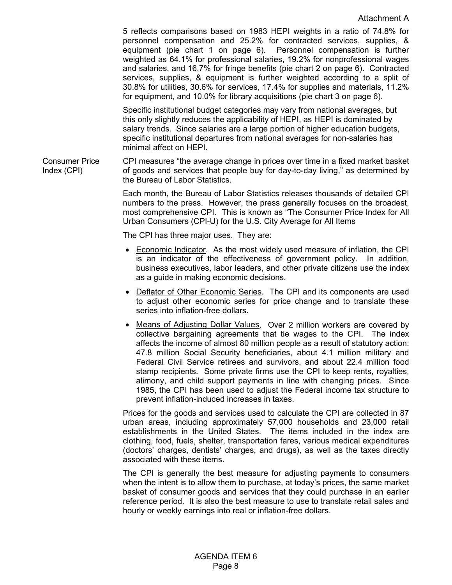5 reflects comparisons based on 1983 HEPI weights in a ratio of 74.8% for personnel compensation and 25.2% for contracted services, supplies, & equipment (pie chart 1 on page 6). Personnel compensation is further weighted as 64.1% for professional salaries, 19.2% for nonprofessional wages and salaries, and 16.7% for fringe benefits (pie chart 2 on page 6). Contracted services, supplies, & equipment is further weighted according to a split of 30.8% for utilities, 30.6% for services, 17.4% for supplies and materials, 11.2% for equipment, and 10.0% for library acquisitions (pie chart 3 on page 6).

Specific institutional budget categories may vary from national averages, but this only slightly reduces the applicability of HEPI, as HEPI is dominated by salary trends. Since salaries are a large portion of higher education budgets, specific institutional departures from national averages for non-salaries has minimal affect on HEPI.

Consumer Price Index (CPI) CPI measures "the average change in prices over time in a fixed market basket of goods and services that people buy for day-to-day living," as determined by the Bureau of Labor Statistics.

> Each month, the Bureau of Labor Statistics releases thousands of detailed CPI numbers to the press. However, the press generally focuses on the broadest, most comprehensive CPI. This is known as "The Consumer Price Index for All Urban Consumers (CPI-U) for the U.S. City Average for All Items

The CPI has three major uses. They are:

- Economic Indicator. As the most widely used measure of inflation, the CPI is an indicator of the effectiveness of government policy. In addition, business executives, labor leaders, and other private citizens use the index as a guide in making economic decisions.
- Deflator of Other Economic Series. The CPI and its components are used to adjust other economic series for price change and to translate these series into inflation-free dollars.
- Means of Adjusting Dollar Values. Over 2 million workers are covered by collective bargaining agreements that tie wages to the CPI. The index affects the income of almost 80 million people as a result of statutory action: 47.8 million Social Security beneficiaries, about 4.1 million military and Federal Civil Service retirees and survivors, and about 22.4 million food stamp recipients. Some private firms use the CPI to keep rents, royalties, alimony, and child support payments in line with changing prices. Since 1985, the CPI has been used to adjust the Federal income tax structure to prevent inflation-induced increases in taxes.

Prices for the goods and services used to calculate the CPI are collected in 87 urban areas, including approximately 57,000 households and 23,000 retail establishments in the United States. The items included in the index are clothing, food, fuels, shelter, transportation fares, various medical expenditures (doctors' charges, dentists' charges, and drugs), as well as the taxes directly associated with these items.

 The CPI is generally the best measure for adjusting payments to consumers when the intent is to allow them to purchase, at today's prices, the same market basket of consumer goods and services that they could purchase in an earlier reference period. It is also the best measure to use to translate retail sales and hourly or weekly earnings into real or inflation-free dollars.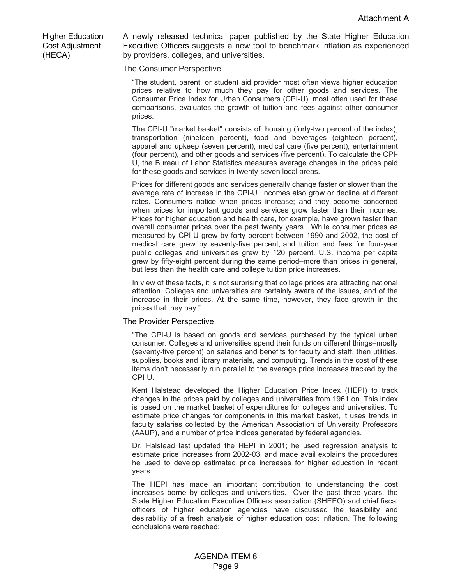Higher Education Cost Adjustment (HECA)

A newly released technical paper published by the State Higher Education Executive Officers suggests a new tool to benchmark inflation as experienced by providers, colleges, and universities.

The Consumer Perspective

"The student, parent, or student aid provider most often views higher education prices relative to how much they pay for other goods and services. The Consumer Price Index for Urban Consumers (CPI-U), most often used for these comparisons, evaluates the growth of tuition and fees against other consumer prices.

The CPI-U "market basket" consists of: housing (forty-two percent of the index), transportation (nineteen percent), food and beverages (eighteen percent), apparel and upkeep (seven percent), medical care (five percent), entertainment (four percent), and other goods and services (five percent). To calculate the CPI-U, the Bureau of Labor Statistics measures average changes in the prices paid for these goods and services in twenty-seven local areas.

Prices for different goods and services generally change faster or slower than the average rate of increase in the CPI-U. Incomes also grow or decline at different rates. Consumers notice when prices increase; and they become concerned when prices for important goods and services grow faster than their incomes. Prices for higher education and health care, for example, have grown faster than overall consumer prices over the past twenty years. While consumer prices as measured by CPI-U grew by forty percent between 1990 and 2002, the cost of medical care grew by seventy-five percent, and tuition and fees for four-year public colleges and universities grew by 120 percent. U.S. income per capita grew by fifty-eight percent during the same period–more than prices in general, but less than the health care and college tuition price increases.

In view of these facts, it is not surprising that college prices are attracting national attention. Colleges and universities are certainly aware of the issues, and of the increase in their prices. At the same time, however, they face growth in the prices that they pay."

#### The Provider Perspective

"The CPI-U is based on goods and services purchased by the typical urban consumer. Colleges and universities spend their funds on different things–mostly (seventy-five percent) on salaries and benefits for faculty and staff, then utilities, supplies, books and library materials, and computing. Trends in the cost of these items don't necessarily run parallel to the average price increases tracked by the CPI-U.

Kent Halstead developed the Higher Education Price Index (HEPI) to track changes in the prices paid by colleges and universities from 1961 on. This index is based on the market basket of expenditures for colleges and universities. To estimate price changes for components in this market basket, it uses trends in faculty salaries collected by the American Association of University Professors (AAUP), and a number of price indices generated by federal agencies.

Dr. Halstead last updated the HEPI in 2001; he used regression analysis to estimate price increases from 2002-03, and made avail explains the procedures he used to develop estimated price increases for higher education in recent years.

The HEPI has made an important contribution to understanding the cost increases borne by colleges and universities. Over the past three years, the State Higher Education Executive Officers association (SHEEO) and chief fiscal officers of higher education agencies have discussed the feasibility and desirability of a fresh analysis of higher education cost inflation. The following conclusions were reached: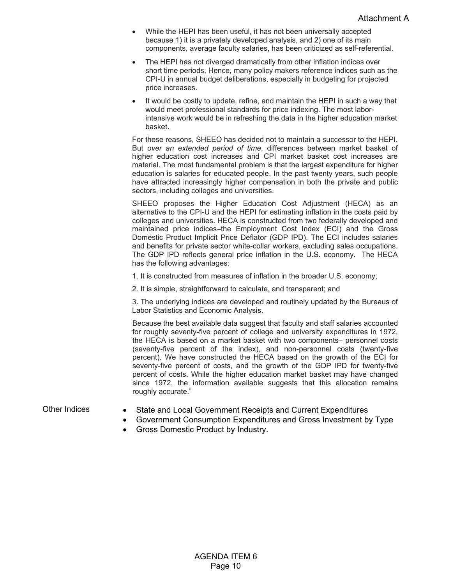- While the HEPI has been useful, it has not been universally accepted because 1) it is a privately developed analysis, and 2) one of its main components, average faculty salaries, has been criticized as self-referential.
- The HEPI has not diverged dramatically from other inflation indices over short time periods. Hence, many policy makers reference indices such as the CPI-U in annual budget deliberations, especially in budgeting for projected price increases.
- It would be costly to update, refine, and maintain the HEPI in such a way that would meet professional standards for price indexing. The most laborintensive work would be in refreshing the data in the higher education market basket.

For these reasons, SHEEO has decided not to maintain a successor to the HEPI. But *over an extended period of time*, differences between market basket of higher education cost increases and CPI market basket cost increases are material. The most fundamental problem is that the largest expenditure for higher education is salaries for educated people. In the past twenty years, such people have attracted increasingly higher compensation in both the private and public sectors, including colleges and universities.

SHEEO proposes the Higher Education Cost Adjustment (HECA) as an alternative to the CPI-U and the HEPI for estimating inflation in the costs paid by colleges and universities. HECA is constructed from two federally developed and maintained price indices–the Employment Cost Index (ECI) and the Gross Domestic Product Implicit Price Deflator (GDP IPD). The ECI includes salaries and benefits for private sector white-collar workers, excluding sales occupations. The GDP IPD reflects general price inflation in the U.S. economy. The HECA has the following advantages:

1. It is constructed from measures of inflation in the broader U.S. economy;

2. It is simple, straightforward to calculate, and transparent; and

3. The underlying indices are developed and routinely updated by the Bureaus of Labor Statistics and Economic Analysis.

Because the best available data suggest that faculty and staff salaries accounted for roughly seventy-five percent of college and university expenditures in 1972, the HECA is based on a market basket with two components– personnel costs (seventy-five percent of the index), and non-personnel costs (twenty-five percent). We have constructed the HECA based on the growth of the ECI for seventy-five percent of costs, and the growth of the GDP IPD for twenty-five percent of costs. While the higher education market basket may have changed since 1972, the information available suggests that this allocation remains roughly accurate."

- Other Indices State and Local Government Receipts and Current Expenditures
	- Government Consumption Expenditures and Gross Investment by Type
	- Gross Domestic Product by Industry.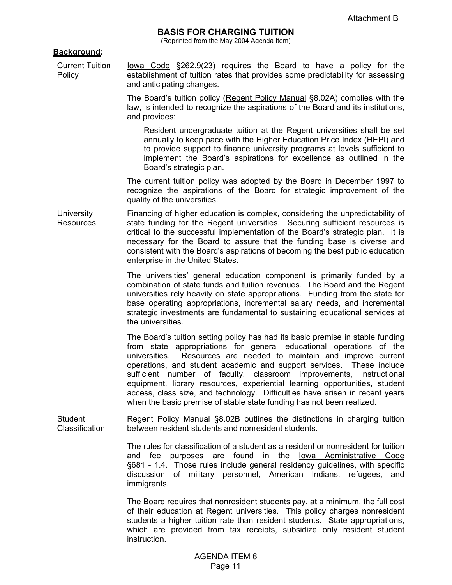# **BASIS FOR CHARGING TUITION**

(Reprinted from the May 2004 Agenda Item)

#### **Background:**

Policy

Current Tuition Iowa Code §262.9(23) requires the Board to have a policy for the establishment of tuition rates that provides some predictability for assessing and anticipating changes.

> The Board's tuition policy (Regent Policy Manual §8.02A) complies with the law, is intended to recognize the aspirations of the Board and its institutions, and provides:

Resident undergraduate tuition at the Regent universities shall be set annually to keep pace with the Higher Education Price Index (HEPI) and to provide support to finance university programs at levels sufficient to implement the Board's aspirations for excellence as outlined in the Board's strategic plan.

 The current tuition policy was adopted by the Board in December 1997 to recognize the aspirations of the Board for strategic improvement of the quality of the universities.

**University** Resources Financing of higher education is complex, considering the unpredictability of state funding for the Regent universities. Securing sufficient resources is critical to the successful implementation of the Board's strategic plan. It is necessary for the Board to assure that the funding base is diverse and consistent with the Board's aspirations of becoming the best public education enterprise in the United States.

> The universities' general education component is primarily funded by a combination of state funds and tuition revenues. The Board and the Regent universities rely heavily on state appropriations. Funding from the state for base operating appropriations, incremental salary needs, and incremental strategic investments are fundamental to sustaining educational services at the universities.

> The Board's tuition setting policy has had its basic premise in stable funding from state appropriations for general educational operations of the universities. Resources are needed to maintain and improve current operations, and student academic and support services. These include sufficient number of faculty, classroom improvements, instructional equipment, library resources, experiential learning opportunities, student access, class size, and technology. Difficulties have arisen in recent years when the basic premise of stable state funding has not been realized.

Student Classification Regent Policy Manual §8.02B outlines the distinctions in charging tuition between resident students and nonresident students.

> The rules for classification of a student as a resident or nonresident for tuition and fee purposes are found in the Iowa Administrative Code §681 - 1.4. Those rules include general residency guidelines, with specific discussion of military personnel, American Indians, refugees, and immigrants.

> The Board requires that nonresident students pay, at a minimum, the full cost of their education at Regent universities. This policy charges nonresident students a higher tuition rate than resident students. State appropriations, which are provided from tax receipts, subsidize only resident student instruction.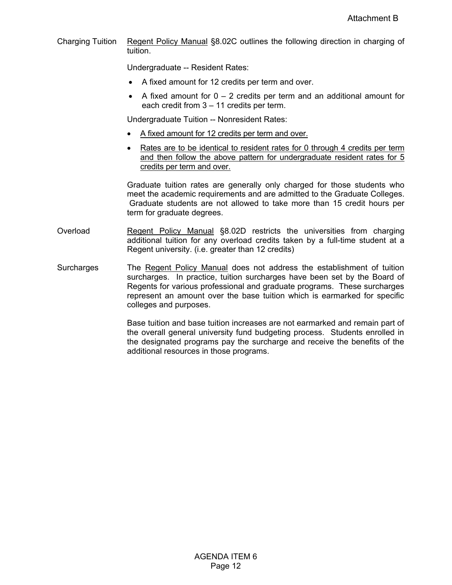Charging Tuition Regent Policy Manual §8.02C outlines the following direction in charging of tuition.

Undergraduate -- Resident Rates:

- A fixed amount for 12 credits per term and over.
- A fixed amount for  $0 2$  credits per term and an additional amount for each credit from 3 – 11 credits per term.

Undergraduate Tuition -- Nonresident Rates:

- A fixed amount for 12 credits per term and over.
- Rates are to be identical to resident rates for 0 through 4 credits per term and then follow the above pattern for undergraduate resident rates for 5 credits per term and over.

 Graduate tuition rates are generally only charged for those students who meet the academic requirements and are admitted to the Graduate Colleges. Graduate students are not allowed to take more than 15 credit hours per term for graduate degrees.

- Overload **Regent Policy Manual §8.02D** restricts the universities from charging additional tuition for any overload credits taken by a full-time student at a Regent university. (i.e. greater than 12 credits)
- Surcharges The Regent Policy Manual does not address the establishment of tuition surcharges. In practice, tuition surcharges have been set by the Board of Regents for various professional and graduate programs. These surcharges represent an amount over the base tuition which is earmarked for specific colleges and purposes.

Base tuition and base tuition increases are not earmarked and remain part of the overall general university fund budgeting process. Students enrolled in the designated programs pay the surcharge and receive the benefits of the additional resources in those programs.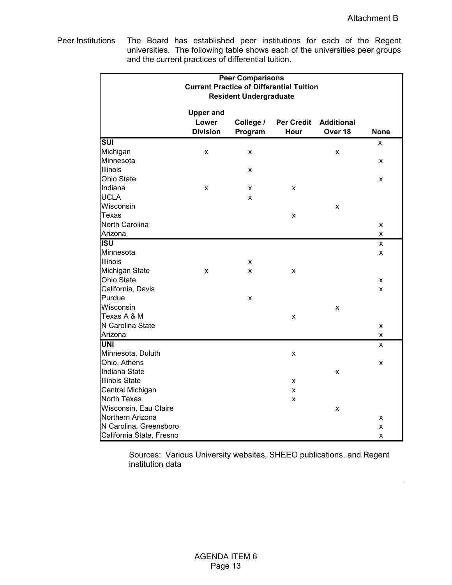Peer Institutions The Board has established peer institutions for each of the Regent universities. The following table shows each of the universities peer groups and the current practices of differential tuition.

|                           |                    | <b>Peer Comparisons</b>       |                                                 |                   |                    |
|---------------------------|--------------------|-------------------------------|-------------------------------------------------|-------------------|--------------------|
|                           |                    |                               | <b>Current Practice of Differential Tuition</b> |                   |                    |
|                           |                    | <b>Resident Undergraduate</b> |                                                 |                   |                    |
|                           |                    |                               |                                                 |                   |                    |
|                           | <b>Upper and</b>   |                               |                                                 |                   |                    |
|                           | Lower              | College /                     | <b>Per Credit</b>                               | <b>Additional</b> |                    |
|                           | <b>Division</b>    | Program                       | Hour                                            | Over 18           | <b>None</b>        |
| $\overline{\text{SUI}}$   |                    |                               |                                                 |                   | x                  |
| Michigan                  | $\pmb{\mathsf{x}}$ | $\pmb{\mathsf{X}}$            |                                                 | x                 |                    |
| Minnesota                 |                    |                               |                                                 |                   | X                  |
| Illinois                  |                    | x                             |                                                 |                   |                    |
| Ohio State                |                    |                               |                                                 |                   | X                  |
| Indiana                   | x                  | x                             | X                                               |                   |                    |
| <b>UCLA</b>               |                    | X                             |                                                 |                   |                    |
| Wisconsin                 |                    |                               |                                                 | X                 |                    |
| <b>Texas</b>              |                    |                               | X                                               |                   |                    |
| North Carolina            |                    |                               |                                                 |                   | X                  |
| Arizona                   |                    |                               |                                                 |                   | X                  |
| $\overline{\mathsf{ISU}}$ |                    |                               |                                                 |                   | X                  |
| Minnesota                 |                    |                               |                                                 |                   | $\pmb{\mathsf{X}}$ |
| <b>Illinois</b>           |                    | x                             |                                                 |                   |                    |
| Michigan State            | X                  | X                             | X                                               |                   |                    |
| Ohio State                |                    |                               |                                                 |                   | X                  |
| California, Davis         |                    |                               |                                                 |                   | X                  |
| Purdue                    |                    | X                             |                                                 |                   |                    |
| Wisconsin                 |                    |                               |                                                 | X                 |                    |
| Texas A & M               |                    |                               | X                                               |                   |                    |
| N Carolina State          |                    |                               |                                                 |                   | X                  |
| Arizona                   |                    |                               |                                                 |                   | $\pmb{\mathsf{X}}$ |
| <b>UNI</b>                |                    |                               |                                                 |                   | X                  |
| Minnesota, Duluth         |                    |                               | X                                               |                   |                    |
| Ohio, Athens              |                    |                               |                                                 |                   | $\pmb{\mathsf{X}}$ |
| Indiana State             |                    |                               |                                                 | X                 |                    |
| <b>Illinois State</b>     |                    |                               | x                                               |                   |                    |
| Central Michigan          |                    |                               | X                                               |                   |                    |
| North Texas               |                    |                               | X                                               |                   |                    |
| Wisconsin, Eau Claire     |                    |                               |                                                 | X                 |                    |
| Northern Arizona          |                    |                               |                                                 |                   | X                  |
| N Carolina, Greensboro    |                    |                               |                                                 |                   | X                  |
| California State, Fresno  |                    |                               |                                                 |                   | X                  |

Sources: Various University websites, SHEEO publications, and Regent institution data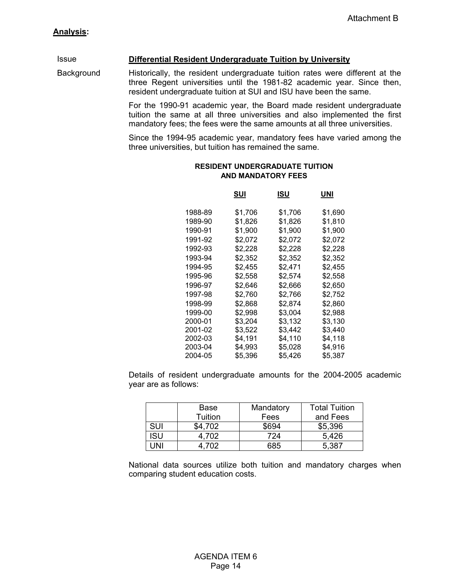Issue **Differential Resident Undergraduate Tuition by University**

Background Historically, the resident undergraduate tuition rates were different at the three Regent universities until the 1981-82 academic year. Since then, resident undergraduate tuition at SUI and ISU have been the same.

> For the 1990-91 academic year, the Board made resident undergraduate tuition the same at all three universities and also implemented the first mandatory fees; the fees were the same amounts at all three universities.

> Since the 1994-95 academic year, mandatory fees have varied among the three universities, but tuition has remained the same.

|         | SUI     | ISU     | UNI     |
|---------|---------|---------|---------|
| 1988-89 | \$1,706 | \$1,706 | \$1.690 |
| 1989-90 | \$1,826 | \$1,826 | \$1,810 |
| 1990-91 | \$1,900 | \$1,900 | \$1,900 |
| 1991-92 | \$2,072 | \$2,072 | \$2,072 |
| 1992-93 | \$2,228 | \$2,228 | \$2,228 |
| 1993-94 | \$2,352 | \$2,352 | \$2,352 |
| 1994-95 | \$2,455 | \$2,471 | \$2,455 |
| 1995-96 | \$2,558 | \$2,574 | \$2.558 |
| 1996-97 | \$2,646 | \$2,666 | \$2,650 |
| 1997-98 | \$2,760 | \$2,766 | \$2,752 |
| 1998-99 | \$2,868 | \$2,874 | \$2,860 |
| 1999-00 | \$2,998 | \$3,004 | \$2.988 |
| 2000-01 | \$3,204 | \$3,132 | \$3,130 |
| 2001-02 | \$3,522 | \$3,442 | \$3,440 |
| 2002-03 | \$4,191 | \$4,110 | \$4,118 |
| 2003-04 | \$4,993 | \$5,028 | \$4.916 |
| 2004-05 | \$5,396 | \$5,426 | \$5,387 |

#### **RESIDENT UNDERGRADUATE TUITION AND MANDATORY FEES**

 Details of resident undergraduate amounts for the 2004-2005 academic year are as follows:

|     | Base    | Mandatory | <b>Total Tuition</b> |
|-----|---------|-----------|----------------------|
|     | Tuition | Fees      | and Fees             |
| SUI | \$4.702 | \$694     | \$5,396              |
| isu | 4.702   | 724       | 5,426                |
| JNI | 702     | 385       | 5,387                |

 National data sources utilize both tuition and mandatory charges when comparing student education costs.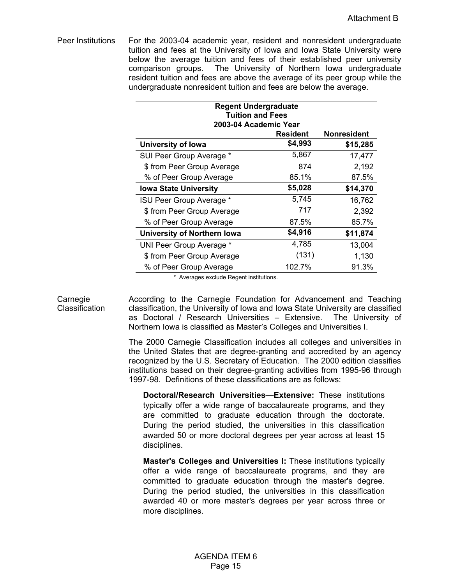Peer Institutions For the 2003-04 academic year, resident and nonresident undergraduate tuition and fees at the University of Iowa and Iowa State University were below the average tuition and fees of their established peer university comparison groups. The University of Northern Iowa undergraduate resident tuition and fees are above the average of its peer group while the undergraduate nonresident tuition and fees are below the average.

| <b>Regent Undergraduate</b><br><b>Tuition and Fees</b> |                       |                    |  |  |
|--------------------------------------------------------|-----------------------|--------------------|--|--|
|                                                        | 2003-04 Academic Year |                    |  |  |
|                                                        | <b>Resident</b>       | <b>Nonresident</b> |  |  |
| University of Iowa                                     | \$4,993               | \$15,285           |  |  |
| SUI Peer Group Average *                               | 5,867                 | 17,477             |  |  |
| \$ from Peer Group Average                             | 874                   | 2,192              |  |  |
| % of Peer Group Average                                | 85.1%                 | 87.5%              |  |  |
| <b>Iowa State University</b>                           | \$5,028               | \$14,370           |  |  |
| ISU Peer Group Average *                               | 5,745                 | 16,762             |  |  |
| \$ from Peer Group Average                             | 717                   | 2,392              |  |  |
| % of Peer Group Average                                | 87.5%                 | 85.7%              |  |  |
| <b>University of Northern Iowa</b>                     | \$4,916               | \$11,874           |  |  |
| UNI Peer Group Average *                               | 4,785                 | 13,004             |  |  |
| \$ from Peer Group Average                             | (131)                 | 1,130              |  |  |
| % of Peer Group Average                                | 102.7%                | 91.3%              |  |  |

\* Averages exclude Regent institutions.

Carnegie **Classification**  According to the Carnegie Foundation for Advancement and Teaching classification, the University of Iowa and Iowa State University are classified as Doctoral / Research Universities – Extensive. The University of Northern Iowa is classified as Master's Colleges and Universities I.

The 2000 Carnegie Classification includes all colleges and universities in the United States that are degree-granting and accredited by an agency recognized by the U.S. Secretary of Education. The 2000 edition classifies institutions based on their degree-granting activities from 1995-96 through 1997-98. Definitions of these classifications are as follows:

**Doctoral/Research Universities—Extensive:** These institutions typically offer a wide range of baccalaureate programs, and they are committed to graduate education through the doctorate. During the period studied, the universities in this classification awarded 50 or more doctoral degrees per year across at least 15 disciplines.

**Master's Colleges and Universities I:** These institutions typically offer a wide range of baccalaureate programs, and they are committed to graduate education through the master's degree. During the period studied, the universities in this classification awarded 40 or more master's degrees per year across three or more disciplines.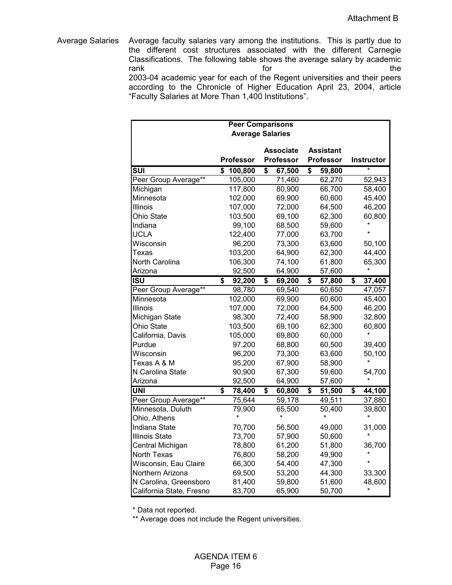Average Salaries Average faculty salaries vary among the institutions. This is partly due to the different cost structures associated with the different Carnegie Classifications. The following table shows the average salary by academic rank the state of the state of the state of the state of the state of the state of the state of the state of the 2003-04 academic year for each of the Regent universities and their peers according to the Chronicle of Higher Education April 23, 2004, article "Faculty Salaries at More Than 1,400 Institutions".

|                          |                  | <b>Peer Comparisons</b> |                  |              |
|--------------------------|------------------|-------------------------|------------------|--------------|
|                          |                  | <b>Average Salaries</b> |                  |              |
|                          |                  |                         |                  |              |
|                          |                  | <b>Associate</b>        | <b>Assistant</b> |              |
|                          | <b>Professor</b> | <b>Professor</b>        | <b>Professor</b> | Instructor   |
| $\overline{\text{SUI}}$  | \$<br>100,800    | \$<br>67,500            | \$<br>59,800     |              |
| Peer Group Average**     | 105,000          | 71,460                  | 62,270           | 52,943       |
| Michigan                 | 117,800          | 80,900                  | 66,700           | 58,400       |
| Minnesota                | 102,000          | 69,900                  | 60,600           | 45,400       |
| Illinois                 | 107,000          | 72,000                  | 64,500           | 46,200       |
| <b>Ohio State</b>        | 103,500          | 69,100                  | 62,300           | 60,800       |
| Indiana                  | 99,100           | 68,500                  | 59,600           |              |
| <b>UCLA</b>              | 122,400          | 77,000                  | 63,700           |              |
| Wisconsin                | 96,200           | 73,300                  | 63,600           | 50,100       |
| Texas                    | 103,200          | 64,900                  | 62,300           | 44,400       |
| North Carolina           | 106,300          | 74,100                  | 61,800           | 65,300       |
| Arizona                  | 92,500           | 64,900                  | 57,600           | $\star$      |
| <b>ISU</b>               | \$<br>92,200     | \$<br>69,200            | \$<br>57,800     | \$<br>37,400 |
| Peer Group Average**     | 98,780           | 69,540                  | 60,650           | 47,057       |
| Minnesota                | 102,000          | 69,900                  | 60,600           | 45,400       |
| Illinois                 | 107,000          | 72,000                  | 64,500           | 46,200       |
| Michigan State           | 98,300           | 72,400                  | 58,900           | 32,800       |
| <b>Ohio State</b>        | 103,500          | 69,100                  | 62,300           | 60,800       |
| California, Davis        | 105,000          | 69,800                  | 60,000           | *            |
| Purdue                   | 97,200           | 68,800                  | 60,500           | 39,400       |
| Wisconsin                | 96,200           | 73,300                  | 63,600           | 50,100       |
| Texas A & M              | 95,200           | 67,900                  | 58,900           |              |
| N Carolina State         | 90,900           | 67,300                  | 59,600           | 54,700       |
| Arizona                  | 92,500           | 64,900                  | 57,600           |              |
| <b>UNI</b>               | \$<br>78,400     | \$<br>60,800            | 51,500<br>\$     | \$<br>44,100 |
| Peer Group Average**     | 75,644           | 59,178                  | 49,511           | 37,880       |
| Minnesota, Duluth        | 79,900           | 65,500                  | 50,400           | 39,800       |
| Ohio, Athens             |                  |                         |                  |              |
| Indiana State            | 70,700           | 56,500                  | 49,000           | 31,000       |
| <b>Illinois State</b>    | 73,700           | 57,900                  | 50,600           |              |
| Central Michigan         | 78,800           | 61,200                  | 51,800           | 36,700       |
| North Texas              | 76,800           | 58,200                  | 49,900           |              |
| Wisconsin, Eau Claire    | 66,300           | 54,400                  | 47,300           |              |
| Northern Arizona         | 69,500           | 53,200                  | 44,300           | 33,300       |
| N Carolina, Greensboro   | 81,400           | 59,800                  | 51,600           | 48,600       |
| California State, Fresno | 83,700           | 65,900                  | 50,700           | $\star$      |

\* Data not reported.

\*\* Average does not include the Regent universities.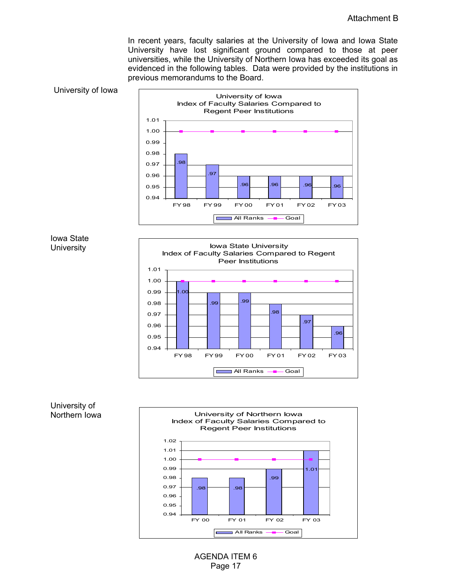In recent years, faculty salaries at the University of Iowa and Iowa State University have lost significant ground compared to those at peer universities, while the University of Northern Iowa has exceeded its goal as evidenced in the following tables. Data were provided by the institutions in previous memorandums to the Board.





# Iowa State **University**



# University of Northern Iowa



AGENDA ITEM 6 Page 17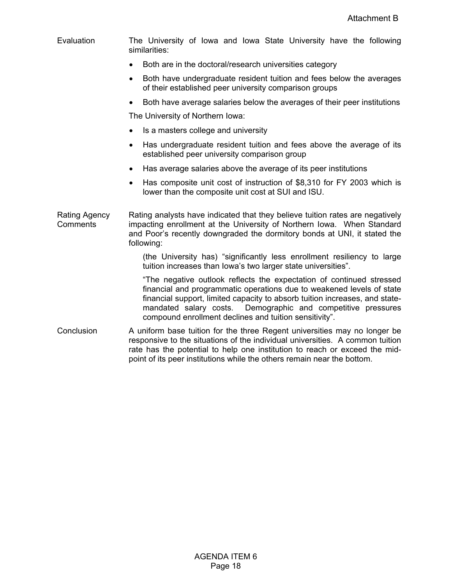| Evaluation                       | The University of Iowa and Iowa State University have the following<br>similarities:                                                                                                                                                                                                                                                                      |  |  |  |
|----------------------------------|-----------------------------------------------------------------------------------------------------------------------------------------------------------------------------------------------------------------------------------------------------------------------------------------------------------------------------------------------------------|--|--|--|
|                                  | Both are in the doctoral/research universities category                                                                                                                                                                                                                                                                                                   |  |  |  |
|                                  | Both have undergraduate resident tuition and fees below the averages<br>٠<br>of their established peer university comparison groups                                                                                                                                                                                                                       |  |  |  |
|                                  | Both have average salaries below the averages of their peer institutions<br>$\bullet$                                                                                                                                                                                                                                                                     |  |  |  |
|                                  | The University of Northern Iowa:                                                                                                                                                                                                                                                                                                                          |  |  |  |
|                                  | Is a masters college and university<br>$\bullet$                                                                                                                                                                                                                                                                                                          |  |  |  |
|                                  | Has undergraduate resident tuition and fees above the average of its<br>$\bullet$<br>established peer university comparison group                                                                                                                                                                                                                         |  |  |  |
|                                  | Has average salaries above the average of its peer institutions<br>$\bullet$                                                                                                                                                                                                                                                                              |  |  |  |
|                                  | Has composite unit cost of instruction of \$8,310 for FY 2003 which is<br>$\bullet$<br>lower than the composite unit cost at SUI and ISU.                                                                                                                                                                                                                 |  |  |  |
| <b>Rating Agency</b><br>Comments | Rating analysts have indicated that they believe tuition rates are negatively<br>impacting enrollment at the University of Northern Iowa. When Standard<br>and Poor's recently downgraded the dormitory bonds at UNI, it stated the<br>following:                                                                                                         |  |  |  |
|                                  | (the University has) "significantly less enrollment resiliency to large<br>tuition increases than lowa's two larger state universities".                                                                                                                                                                                                                  |  |  |  |
|                                  | "The negative outlook reflects the expectation of continued stressed<br>financial and programmatic operations due to weakened levels of state<br>financial support, limited capacity to absorb tuition increases, and state-<br>Demographic and competitive pressures<br>mandated salary costs.<br>compound enrollment declines and tuition sensitivity". |  |  |  |
| Conclusion                       | A uniform base tuition for the three Regent universities may no longer be<br>responsive to the situations of the individual universities. A common tuition<br>rate has the potential to help one institution to reach or exceed the mid-<br>point of its peer institutions while the others remain near the bottom.                                       |  |  |  |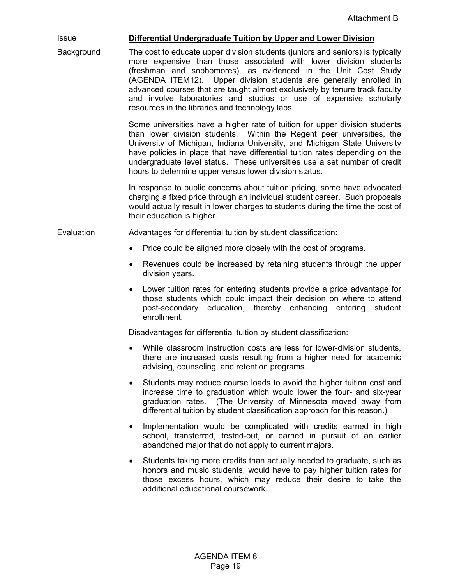# Issue **Differential Undergraduate Tuition by Upper and Lower Division**

Background The cost to educate upper division students (juniors and seniors) is typically more expensive than those associated with lower division students (freshman and sophomores), as evidenced in the Unit Cost Study (AGENDA ITEM12). Upper division students are generally enrolled in advanced courses that are taught almost exclusively by tenure track faculty and involve laboratories and studios or use of expensive scholarly resources in the libraries and technology labs.

> Some universities have a higher rate of tuition for upper division students than lower division students. Within the Regent peer universities, the University of Michigan, Indiana University, and Michigan State University have policies in place that have differential tuition rates depending on the undergraduate level status. These universities use a set number of credit hours to determine upper versus lower division status.

> In response to public concerns about tuition pricing, some have advocated charging a fixed price through an individual student career. Such proposals would actually result in lower charges to students during the time the cost of their education is higher.

Evaluation Advantages for differential tuition by student classification:

- Price could be aligned more closely with the cost of programs.
- Revenues could be increased by retaining students through the upper division years.
- Lower tuition rates for entering students provide a price advantage for those students which could impact their decision on where to attend post-secondary education, thereby enhancing entering student enrollment.

Disadvantages for differential tuition by student classification:

- While classroom instruction costs are less for lower-division students, there are increased costs resulting from a higher need for academic advising, counseling, and retention programs.
- Students may reduce course loads to avoid the higher tuition cost and increase time to graduation which would lower the four- and six-year graduation rates. (The University of Minnesota moved away from differential tuition by student classification approach for this reason.)
- Implementation would be complicated with credits earned in high school, transferred, tested-out, or earned in pursuit of an earlier abandoned major that do not apply to current majors.
- Students taking more credits than actually needed to graduate, such as honors and music students, would have to pay higher tuition rates for those excess hours, which may reduce their desire to take the additional educational coursework.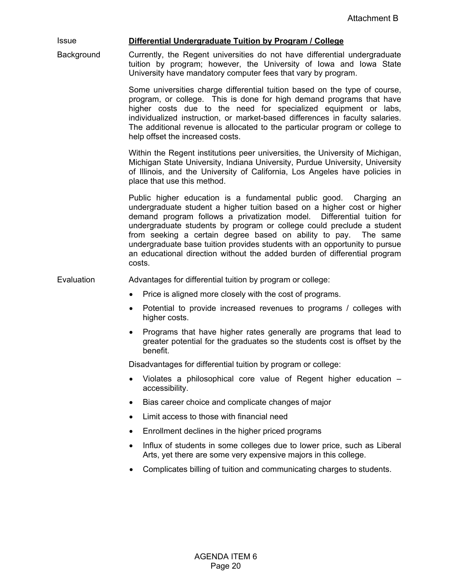# Issue **Differential Undergraduate Tuition by Program / College**

Background Currently, the Regent universities do not have differential undergraduate tuition by program; however, the University of Iowa and Iowa State University have mandatory computer fees that vary by program.

> Some universities charge differential tuition based on the type of course, program, or college. This is done for high demand programs that have higher costs due to the need for specialized equipment or labs, individualized instruction, or market-based differences in faculty salaries. The additional revenue is allocated to the particular program or college to help offset the increased costs.

> Within the Regent institutions peer universities, the University of Michigan, Michigan State University, Indiana University, Purdue University, University of Illinois, and the University of California, Los Angeles have policies in place that use this method.

> Public higher education is a fundamental public good. Charging an undergraduate student a higher tuition based on a higher cost or higher demand program follows a privatization model. Differential tuition for undergraduate students by program or college could preclude a student from seeking a certain degree based on ability to pay. The same undergraduate base tuition provides students with an opportunity to pursue an educational direction without the added burden of differential program costs.

Evaluation **Advantages for differential tuition by program or college:** 

- Price is aligned more closely with the cost of programs.
- Potential to provide increased revenues to programs / colleges with higher costs.
- Programs that have higher rates generally are programs that lead to greater potential for the graduates so the students cost is offset by the benefit.

Disadvantages for differential tuition by program or college:

- Violates a philosophical core value of Regent higher education accessibility.
- Bias career choice and complicate changes of major
- Limit access to those with financial need
- Enrollment declines in the higher priced programs
- Influx of students in some colleges due to lower price, such as Liberal Arts, yet there are some very expensive majors in this college.
- Complicates billing of tuition and communicating charges to students.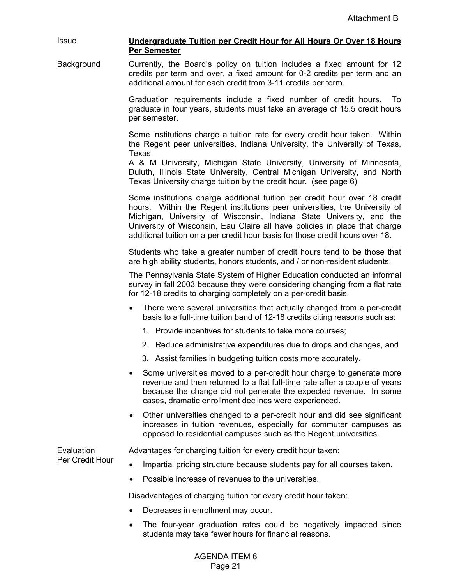#### Issue **Undergraduate Tuition per Credit Hour for All Hours Or Over 18 Hours Per Semester**

Background Currently, the Board's policy on tuition includes a fixed amount for 12 credits per term and over, a fixed amount for 0-2 credits per term and an additional amount for each credit from 3-11 credits per term.

> Graduation requirements include a fixed number of credit hours. To graduate in four years, students must take an average of 15.5 credit hours per semester.

> Some institutions charge a tuition rate for every credit hour taken. Within the Regent peer universities, Indiana University, the University of Texas, Texas

> A & M University, Michigan State University, University of Minnesota, Duluth, Illinois State University, Central Michigan University, and North Texas University charge tuition by the credit hour. (see page 6)

> Some institutions charge additional tuition per credit hour over 18 credit hours. Within the Regent institutions peer universities, the University of Michigan, University of Wisconsin, Indiana State University, and the University of Wisconsin, Eau Claire all have policies in place that charge additional tuition on a per credit hour basis for those credit hours over 18.

> Students who take a greater number of credit hours tend to be those that are high ability students, honors students, and / or non-resident students.

> The Pennsylvania State System of Higher Education conducted an informal survey in fall 2003 because they were considering changing from a flat rate for 12-18 credits to charging completely on a per-credit basis.

- There were several universities that actually changed from a per-credit basis to a full-time tuition band of 12-18 credits citing reasons such as:
	- 1. Provide incentives for students to take more courses;
	- 2. Reduce administrative expenditures due to drops and changes, and
	- 3. Assist families in budgeting tuition costs more accurately.
- Some universities moved to a per-credit hour charge to generate more revenue and then returned to a flat full-time rate after a couple of years because the change did not generate the expected revenue. In some cases, dramatic enrollment declines were experienced.
- Other universities changed to a per-credit hour and did see significant increases in tuition revenues, especially for commuter campuses as opposed to residential campuses such as the Regent universities.

**Evaluation** Per Credit Hour Advantages for charging tuition for every credit hour taken:

- Impartial pricing structure because students pay for all courses taken.
- Possible increase of revenues to the universities.

Disadvantages of charging tuition for every credit hour taken:

- Decreases in enrollment may occur.
- The four-year graduation rates could be negatively impacted since students may take fewer hours for financial reasons.